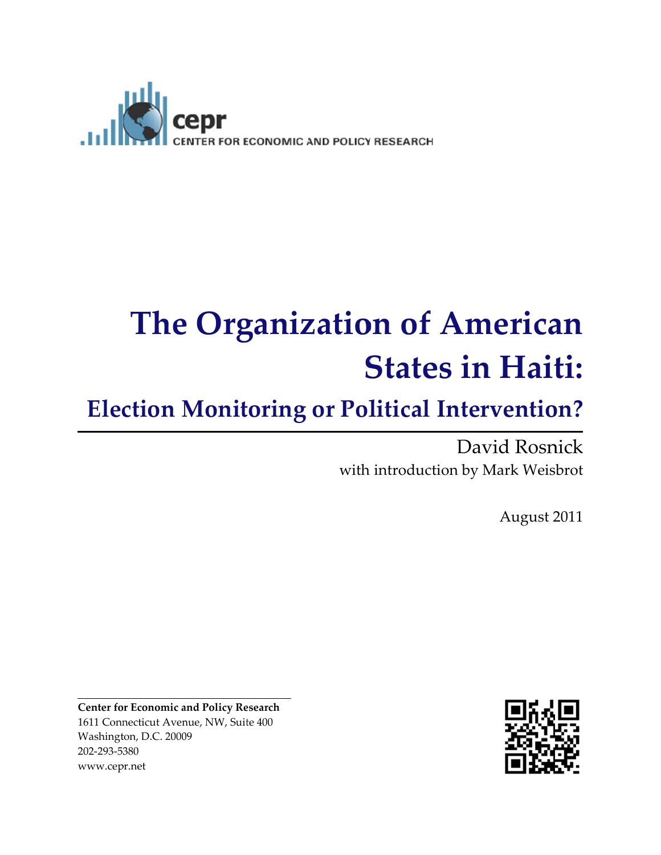

# **The Organization of American States in Haiti:**

# **Election Monitoring or Political Intervention?**

#### David Rosnick with introduction by Mark Weisbrot

August 2011

**Center for Economic and Policy Research** 1611 Connecticut Avenue, NW, Suite 400 Washington, D.C. 20009 202-293-5380 www.cepr.net

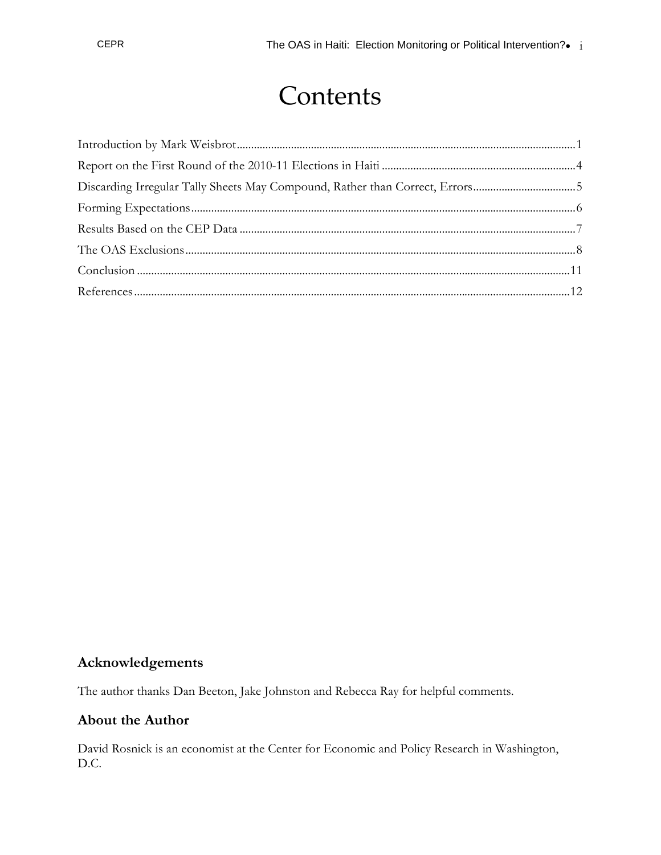## **Contents**

#### **Acknowledgements**

The author thanks Dan Beeton, Jake Johnston and Rebecca Ray for helpful comments.

#### **About the Author**

David Rosnick is an economist at the Center for Economic and Policy Research in Washington, D.C.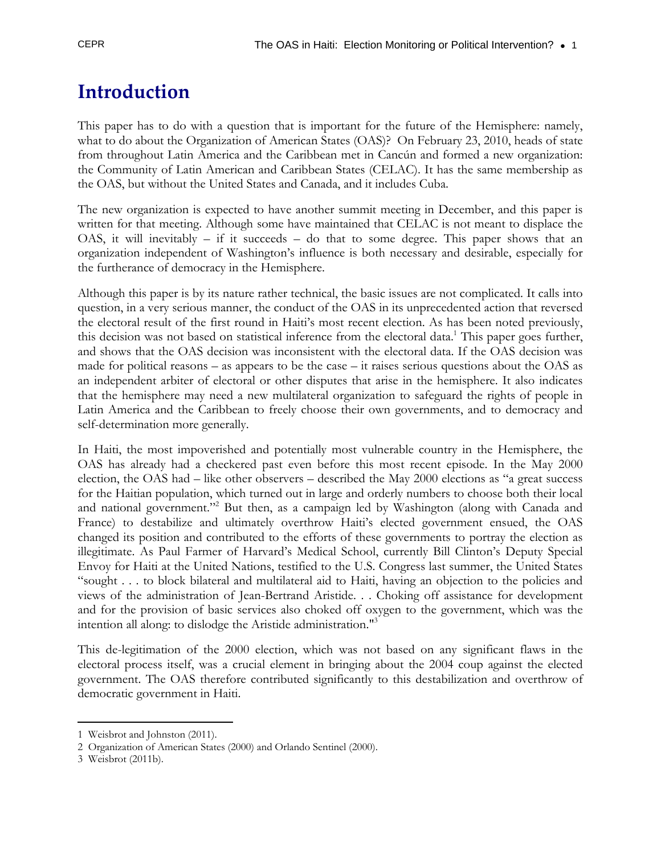## **Introduction**

This paper has to do with a question that is important for the future of the Hemisphere: namely, what to do about the Organization of American States (OAS)? On February 23, 2010, heads of state from throughout Latin America and the Caribbean met in Cancún and formed a new organization: the Community of Latin American and Caribbean States (CELAC). It has the same membership as the OAS, but without the United States and Canada, and it includes Cuba.

The new organization is expected to have another summit meeting in December, and this paper is written for that meeting. Although some have maintained that CELAC is not meant to displace the OAS, it will inevitably  $-$  if it succeeds  $-$  do that to some degree. This paper shows that an organization independent of Washington's influence is both necessary and desirable, especially for the furtherance of democracy in the Hemisphere.

Although this paper is by its nature rather technical, the basic issues are not complicated. It calls into question, in a very serious manner, the conduct of the OAS in its unprecedented action that reversed the electoral result of the first round in Haiti's most recent election. As has been noted previously, this decision was not based on statistical inference from the electoral data.<sup>1</sup> This paper goes further, and shows that the OAS decision was inconsistent with the electoral data. If the OAS decision was made for political reasons – as appears to be the case – it raises serious questions about the OAS as an independent arbiter of electoral or other disputes that arise in the hemisphere. It also indicates that the hemisphere may need a new multilateral organization to safeguard the rights of people in Latin America and the Caribbean to freely choose their own governments, and to democracy and self-determination more generally.

In Haiti, the most impoverished and potentially most vulnerable country in the Hemisphere, the OAS has already had a checkered past even before this most recent episode. In the May 2000 election, the OAS had – like other observers – described the May 2000 elections as "a great success for the Haitian population, which turned out in large and orderly numbers to choose both their local and national government."<sup>2</sup> But then, as a campaign led by Washington (along with Canada and France) to destabilize and ultimately overthrow Haiti's elected government ensued, the OAS changed its position and contributed to the efforts of these governments to portray the election as illegitimate. As Paul Farmer of Harvard's Medical School, currently Bill Clinton's Deputy Special Envoy for Haiti at the United Nations, testified to the U.S. Congress last summer, the United States "sought . . . to block bilateral and multilateral aid to Haiti, having an objection to the policies and views of the administration of Jean-Bertrand Aristide. . . Choking off assistance for development and for the provision of basic services also choked off oxygen to the government, which was the intention all along: to dislodge the Aristide administration."3

This de-legitimation of the 2000 election, which was not based on any significant flaws in the electoral process itself, was a crucial element in bringing about the 2004 coup against the elected government. The OAS therefore contributed significantly to this destabilization and overthrow of democratic government in Haiti.

 $\overline{a}$ 1 Weisbrot and Johnston (2011).

<sup>2</sup> Organization of American States (2000) and Orlando Sentinel (2000).

<sup>3</sup> Weisbrot (2011b).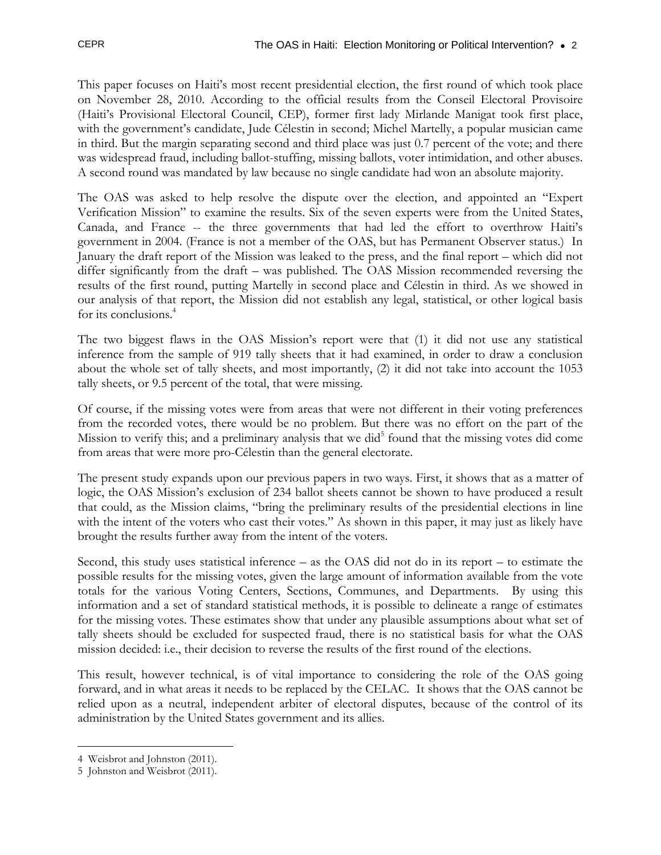This paper focuses on Haiti's most recent presidential election, the first round of which took place on November 28, 2010. According to the official results from the Conseil Electoral Provisoire (Haiti's Provisional Electoral Council, CEP), former first lady Mirlande Manigat took first place, with the government's candidate, Jude Célestin in second; Michel Martelly, a popular musician came in third. But the margin separating second and third place was just 0.7 percent of the vote; and there was widespread fraud, including ballot-stuffing, missing ballots, voter intimidation, and other abuses. A second round was mandated by law because no single candidate had won an absolute majority.

The OAS was asked to help resolve the dispute over the election, and appointed an "Expert Verification Mission" to examine the results. Six of the seven experts were from the United States, Canada, and France -- the three governments that had led the effort to overthrow Haiti's government in 2004. (France is not a member of the OAS, but has Permanent Observer status.) In January the draft report of the Mission was leaked to the press, and the final report – which did not differ significantly from the draft – was published. The OAS Mission recommended reversing the results of the first round, putting Martelly in second place and Célestin in third. As we showed in our analysis of that report, the Mission did not establish any legal, statistical, or other logical basis for its conclusions.<sup>4</sup>

The two biggest flaws in the OAS Mission's report were that (1) it did not use any statistical inference from the sample of 919 tally sheets that it had examined, in order to draw a conclusion about the whole set of tally sheets, and most importantly, (2) it did not take into account the 1053 tally sheets, or 9.5 percent of the total, that were missing.

Of course, if the missing votes were from areas that were not different in their voting preferences from the recorded votes, there would be no problem. But there was no effort on the part of the Mission to verify this; and a preliminary analysis that we did<sup>5</sup> found that the missing votes did come from areas that were more pro-Célestin than the general electorate.

The present study expands upon our previous papers in two ways. First, it shows that as a matter of logic, the OAS Mission's exclusion of 234 ballot sheets cannot be shown to have produced a result that could, as the Mission claims, "bring the preliminary results of the presidential elections in line with the intent of the voters who cast their votes." As shown in this paper, it may just as likely have brought the results further away from the intent of the voters.

Second, this study uses statistical inference – as the OAS did not do in its report – to estimate the possible results for the missing votes, given the large amount of information available from the vote totals for the various Voting Centers, Sections, Communes, and Departments. By using this information and a set of standard statistical methods, it is possible to delineate a range of estimates for the missing votes. These estimates show that under any plausible assumptions about what set of tally sheets should be excluded for suspected fraud, there is no statistical basis for what the OAS mission decided: i.e., their decision to reverse the results of the first round of the elections.

This result, however technical, is of vital importance to considering the role of the OAS going forward, and in what areas it needs to be replaced by the CELAC. It shows that the OAS cannot be relied upon as a neutral, independent arbiter of electoral disputes, because of the control of its administration by the United States government and its allies.

 $\overline{a}$ 4 Weisbrot and Johnston (2011).

<sup>5</sup> Johnston and Weisbrot (2011).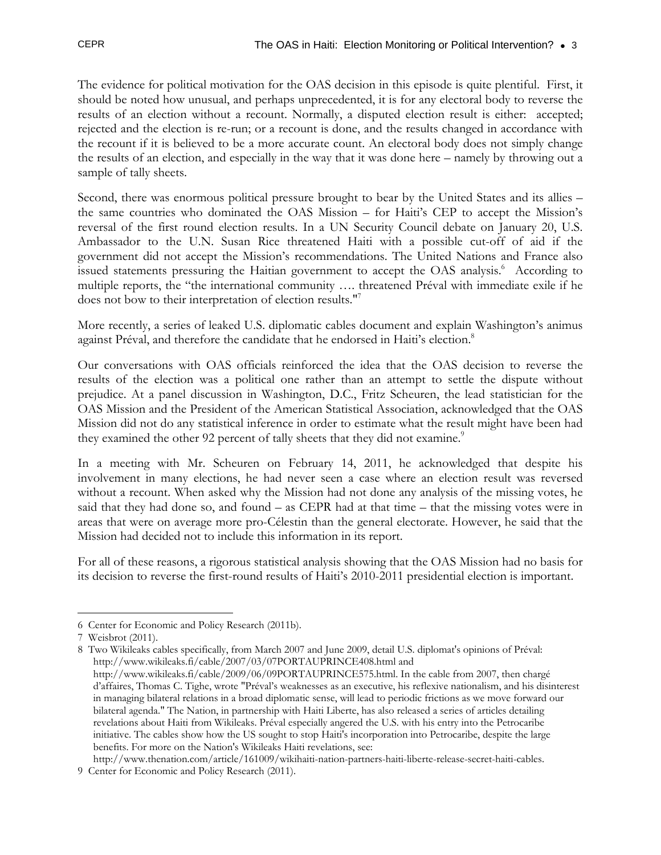The evidence for political motivation for the OAS decision in this episode is quite plentiful. First, it should be noted how unusual, and perhaps unprecedented, it is for any electoral body to reverse the results of an election without a recount. Normally, a disputed election result is either: accepted; rejected and the election is re-run; or a recount is done, and the results changed in accordance with the recount if it is believed to be a more accurate count. An electoral body does not simply change the results of an election, and especially in the way that it was done here – namely by throwing out a sample of tally sheets.

Second, there was enormous political pressure brought to bear by the United States and its allies – the same countries who dominated the OAS Mission – for Haiti's CEP to accept the Mission's reversal of the first round election results. In a UN Security Council debate on January 20, U.S. Ambassador to the U.N. Susan Rice threatened Haiti with a possible cut-off of aid if the government did not accept the Mission's recommendations. The United Nations and France also issued statements pressuring the Haitian government to accept the OAS analysis.<sup>6</sup> According to multiple reports, the "the international community …. threatened Préval with immediate exile if he does not bow to their interpretation of election results."7

More recently, a series of leaked U.S. diplomatic cables document and explain Washington's animus against Préval, and therefore the candidate that he endorsed in Haiti's election.<sup>8</sup>

Our conversations with OAS officials reinforced the idea that the OAS decision to reverse the results of the election was a political one rather than an attempt to settle the dispute without prejudice. At a panel discussion in Washington, D.C., Fritz Scheuren, the lead statistician for the OAS Mission and the President of the American Statistical Association, acknowledged that the OAS Mission did not do any statistical inference in order to estimate what the result might have been had they examined the other 92 percent of tally sheets that they did not examine.<sup>9</sup>

In a meeting with Mr. Scheuren on February 14, 2011, he acknowledged that despite his involvement in many elections, he had never seen a case where an election result was reversed without a recount. When asked why the Mission had not done any analysis of the missing votes, he said that they had done so, and found – as CEPR had at that time – that the missing votes were in areas that were on average more pro-Célestin than the general electorate. However, he said that the Mission had decided not to include this information in its report.

For all of these reasons, a rigorous statistical analysis showing that the OAS Mission had no basis for its decision to reverse the first-round results of Haiti's 2010-2011 presidential election is important.

 $\overline{a}$ 6 Center for Economic and Policy Research (2011b).

<sup>7</sup> Weisbrot (2011).

<sup>8</sup> Two Wikileaks cables specifically, from March 2007 and June 2009, detail U.S. diplomat's opinions of Préval: http://www.wikileaks.fi/cable/2007/03/07PORTAUPRINCE408.html and http://www.wikileaks.fi/cable/2009/06/09PORTAUPRINCE575.html. In the cable from 2007, then chargé d'affaires, Thomas C. Tighe, wrote "Préval's weaknesses as an executive, his reflexive nationalism, and his disinterest in managing bilateral relations in a broad diplomatic sense, will lead to periodic frictions as we move forward our bilateral agenda." The Nation, in partnership with Haiti Liberte, has also released a series of articles detailing revelations about Haiti from Wikileaks. Préval especially angered the U.S. with his entry into the Petrocaribe initiative. The cables show how the US sought to stop Haiti's incorporation into Petrocaribe, despite the large benefits. For more on the Nation's Wikileaks Haiti revelations, see:

http://www.thenation.com/article/161009/wikihaiti-nation-partners-haiti-liberte-release-secret-haiti-cables. 9 Center for Economic and Policy Research (2011).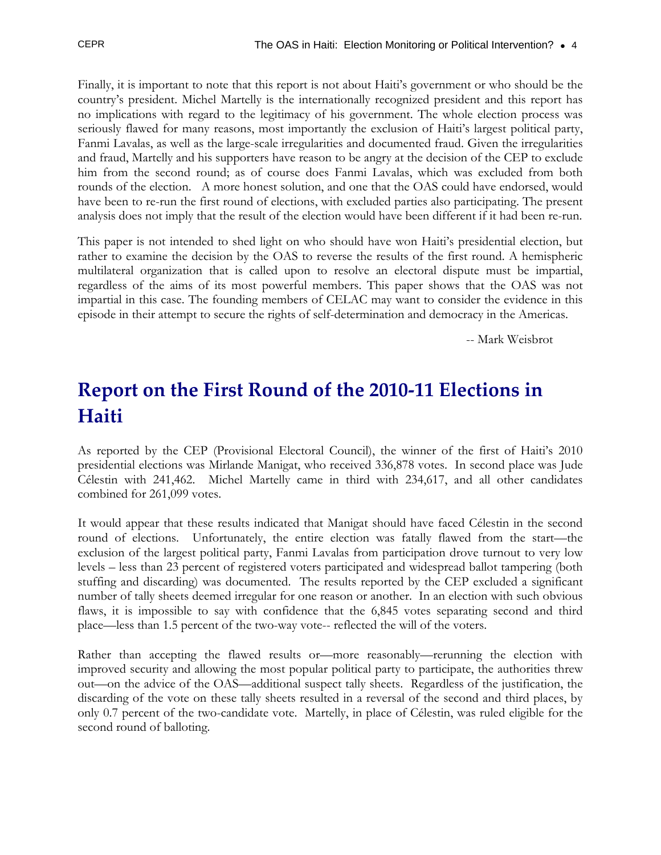Finally, it is important to note that this report is not about Haiti's government or who should be the country's president. Michel Martelly is the internationally recognized president and this report has no implications with regard to the legitimacy of his government. The whole election process was seriously flawed for many reasons, most importantly the exclusion of Haiti's largest political party, Fanmi Lavalas, as well as the large-scale irregularities and documented fraud. Given the irregularities and fraud, Martelly and his supporters have reason to be angry at the decision of the CEP to exclude him from the second round; as of course does Fanmi Lavalas, which was excluded from both rounds of the election. A more honest solution, and one that the OAS could have endorsed, would have been to re-run the first round of elections, with excluded parties also participating. The present analysis does not imply that the result of the election would have been different if it had been re-run.

This paper is not intended to shed light on who should have won Haiti's presidential election, but rather to examine the decision by the OAS to reverse the results of the first round. A hemispheric multilateral organization that is called upon to resolve an electoral dispute must be impartial, regardless of the aims of its most powerful members. This paper shows that the OAS was not impartial in this case. The founding members of CELAC may want to consider the evidence in this episode in their attempt to secure the rights of self-determination and democracy in the Americas.

-- Mark Weisbrot

## **Report on the First Round of the 2010‐11 Elections in Haiti**

As reported by the CEP (Provisional Electoral Council), the winner of the first of Haiti's 2010 presidential elections was Mirlande Manigat, who received 336,878 votes. In second place was Jude Célestin with 241,462. Michel Martelly came in third with 234,617, and all other candidates combined for 261,099 votes.

It would appear that these results indicated that Manigat should have faced Célestin in the second round of elections. Unfortunately, the entire election was fatally flawed from the start—the exclusion of the largest political party, Fanmi Lavalas from participation drove turnout to very low levels – less than 23 percent of registered voters participated and widespread ballot tampering (both stuffing and discarding) was documented. The results reported by the CEP excluded a significant number of tally sheets deemed irregular for one reason or another. In an election with such obvious flaws, it is impossible to say with confidence that the 6,845 votes separating second and third place—less than 1.5 percent of the two-way vote-- reflected the will of the voters.

Rather than accepting the flawed results or—more reasonably—rerunning the election with improved security and allowing the most popular political party to participate, the authorities threw out—on the advice of the OAS—additional suspect tally sheets. Regardless of the justification, the discarding of the vote on these tally sheets resulted in a reversal of the second and third places, by only 0.7 percent of the two-candidate vote. Martelly, in place of Célestin, was ruled eligible for the second round of balloting.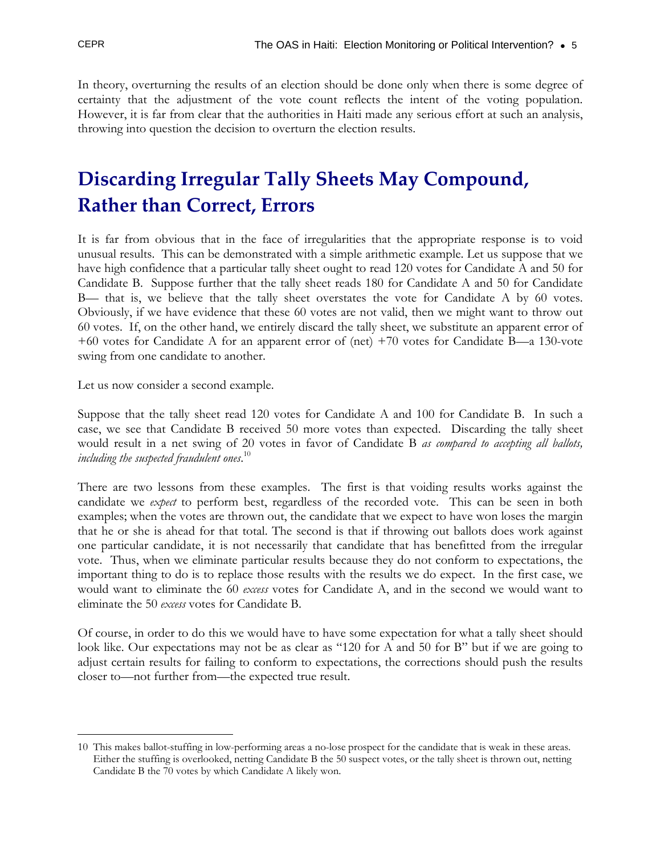In theory, overturning the results of an election should be done only when there is some degree of certainty that the adjustment of the vote count reflects the intent of the voting population. However, it is far from clear that the authorities in Haiti made any serious effort at such an analysis, throwing into question the decision to overturn the election results.

## **Discarding Irregular Tally Sheets May Compound, Rather than Correct, Errors**

It is far from obvious that in the face of irregularities that the appropriate response is to void unusual results. This can be demonstrated with a simple arithmetic example. Let us suppose that we have high confidence that a particular tally sheet ought to read 120 votes for Candidate A and 50 for Candidate B. Suppose further that the tally sheet reads 180 for Candidate A and 50 for Candidate B— that is, we believe that the tally sheet overstates the vote for Candidate A by 60 votes. Obviously, if we have evidence that these 60 votes are not valid, then we might want to throw out 60 votes. If, on the other hand, we entirely discard the tally sheet, we substitute an apparent error of +60 votes for Candidate A for an apparent error of (net) +70 votes for Candidate B—a 130-vote swing from one candidate to another.

Let us now consider a second example.

Suppose that the tally sheet read 120 votes for Candidate A and 100 for Candidate B. In such a case, we see that Candidate B received 50 more votes than expected. Discarding the tally sheet would result in a net swing of 20 votes in favor of Candidate B *as compared to accepting all ballots, including the suspected fraudulent ones*. 10

There are two lessons from these examples. The first is that voiding results works against the candidate we *expect* to perform best, regardless of the recorded vote. This can be seen in both examples; when the votes are thrown out, the candidate that we expect to have won loses the margin that he or she is ahead for that total. The second is that if throwing out ballots does work against one particular candidate, it is not necessarily that candidate that has benefitted from the irregular vote. Thus, when we eliminate particular results because they do not conform to expectations, the important thing to do is to replace those results with the results we do expect. In the first case, we would want to eliminate the 60 *excess* votes for Candidate A, and in the second we would want to eliminate the 50 *excess* votes for Candidate B.

Of course, in order to do this we would have to have some expectation for what a tally sheet should look like. Our expectations may not be as clear as "120 for A and 50 for B" but if we are going to adjust certain results for failing to conform to expectations, the corrections should push the results closer to—not further from—the expected true result.

 $\overline{a}$ 10 This makes ballot-stuffing in low-performing areas a no-lose prospect for the candidate that is weak in these areas. Either the stuffing is overlooked, netting Candidate B the 50 suspect votes, or the tally sheet is thrown out, netting Candidate B the 70 votes by which Candidate A likely won.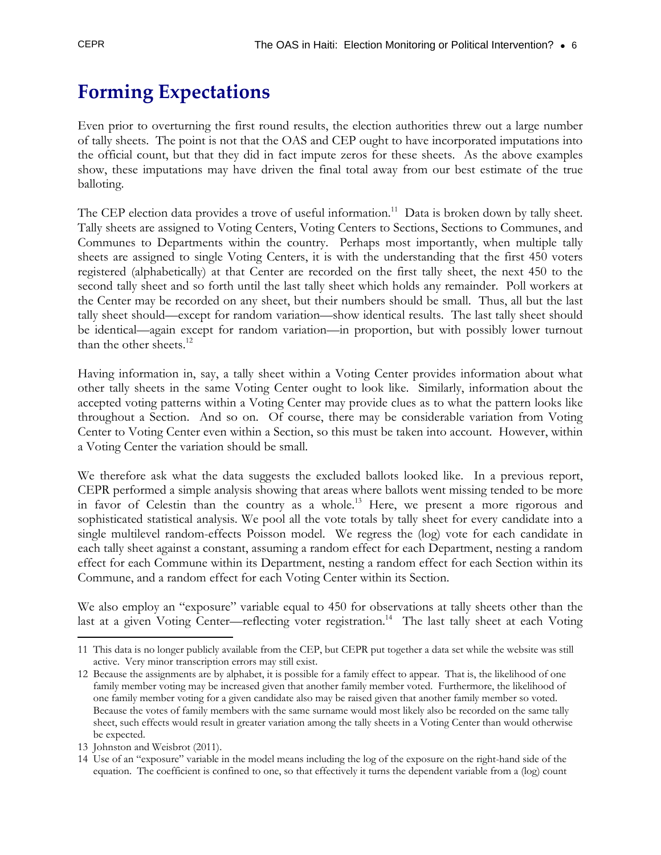## **Forming Expectations**

Even prior to overturning the first round results, the election authorities threw out a large number of tally sheets. The point is not that the OAS and CEP ought to have incorporated imputations into the official count, but that they did in fact impute zeros for these sheets. As the above examples show, these imputations may have driven the final total away from our best estimate of the true balloting.

The CEP election data provides a trove of useful information.<sup>11</sup> Data is broken down by tally sheet. Tally sheets are assigned to Voting Centers, Voting Centers to Sections, Sections to Communes, and Communes to Departments within the country. Perhaps most importantly, when multiple tally sheets are assigned to single Voting Centers, it is with the understanding that the first 450 voters registered (alphabetically) at that Center are recorded on the first tally sheet, the next 450 to the second tally sheet and so forth until the last tally sheet which holds any remainder. Poll workers at the Center may be recorded on any sheet, but their numbers should be small. Thus, all but the last tally sheet should—except for random variation—show identical results. The last tally sheet should be identical—again except for random variation—in proportion, but with possibly lower turnout than the other sheets.<sup>12</sup>

Having information in, say, a tally sheet within a Voting Center provides information about what other tally sheets in the same Voting Center ought to look like. Similarly, information about the accepted voting patterns within a Voting Center may provide clues as to what the pattern looks like throughout a Section. And so on. Of course, there may be considerable variation from Voting Center to Voting Center even within a Section, so this must be taken into account. However, within a Voting Center the variation should be small.

We therefore ask what the data suggests the excluded ballots looked like. In a previous report, CEPR performed a simple analysis showing that areas where ballots went missing tended to be more in favor of Celestin than the country as a whole.<sup>13</sup> Here, we present a more rigorous and sophisticated statistical analysis. We pool all the vote totals by tally sheet for every candidate into a single multilevel random-effects Poisson model. We regress the (log) vote for each candidate in each tally sheet against a constant, assuming a random effect for each Department, nesting a random effect for each Commune within its Department, nesting a random effect for each Section within its Commune, and a random effect for each Voting Center within its Section.

We also employ an "exposure" variable equal to 450 for observations at tally sheets other than the last at a given Voting Center—reflecting voter registration.<sup>14</sup> The last tally sheet at each Voting

<sup>-</sup>11 This data is no longer publicly available from the CEP, but CEPR put together a data set while the website was still active. Very minor transcription errors may still exist.

<sup>12</sup> Because the assignments are by alphabet, it is possible for a family effect to appear. That is, the likelihood of one family member voting may be increased given that another family member voted. Furthermore, the likelihood of one family member voting for a given candidate also may be raised given that another family member so voted. Because the votes of family members with the same surname would most likely also be recorded on the same tally sheet, such effects would result in greater variation among the tally sheets in a Voting Center than would otherwise be expected.

<sup>13</sup> Johnston and Weisbrot (2011).

<sup>14</sup> Use of an "exposure" variable in the model means including the log of the exposure on the right-hand side of the equation. The coefficient is confined to one, so that effectively it turns the dependent variable from a (log) count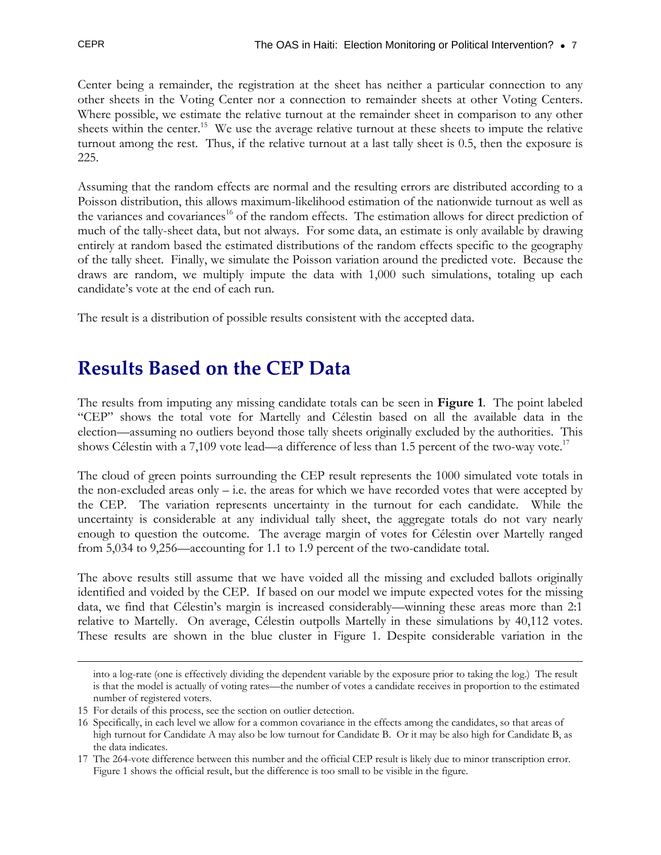Center being a remainder, the registration at the sheet has neither a particular connection to any other sheets in the Voting Center nor a connection to remainder sheets at other Voting Centers. Where possible, we estimate the relative turnout at the remainder sheet in comparison to any other sheets within the center.<sup>15</sup> We use the average relative turnout at these sheets to impute the relative turnout among the rest. Thus, if the relative turnout at a last tally sheet is 0.5, then the exposure is 225.

Assuming that the random effects are normal and the resulting errors are distributed according to a Poisson distribution, this allows maximum-likelihood estimation of the nationwide turnout as well as the variances and covariances<sup>16</sup> of the random effects. The estimation allows for direct prediction of much of the tally-sheet data, but not always. For some data, an estimate is only available by drawing entirely at random based the estimated distributions of the random effects specific to the geography of the tally sheet. Finally, we simulate the Poisson variation around the predicted vote. Because the draws are random, we multiply impute the data with 1,000 such simulations, totaling up each candidate's vote at the end of each run.

The result is a distribution of possible results consistent with the accepted data.

#### **Results Based on the CEP Data**

The results from imputing any missing candidate totals can be seen in **Figure 1**. The point labeled "CEP" shows the total vote for Martelly and Célestin based on all the available data in the election—assuming no outliers beyond those tally sheets originally excluded by the authorities. This shows Célestin with a 7,109 vote lead—a difference of less than 1.5 percent of the two-way vote.<sup>17</sup>

The cloud of green points surrounding the CEP result represents the 1000 simulated vote totals in the non-excluded areas only  $-$  i.e. the areas for which we have recorded votes that were accepted by the CEP. The variation represents uncertainty in the turnout for each candidate. While the uncertainty is considerable at any individual tally sheet, the aggregate totals do not vary nearly enough to question the outcome. The average margin of votes for Célestin over Martelly ranged from 5,034 to 9,256—accounting for 1.1 to 1.9 percent of the two-candidate total.

The above results still assume that we have voided all the missing and excluded ballots originally identified and voided by the CEP. If based on our model we impute expected votes for the missing data, we find that Célestin's margin is increased considerably—winning these areas more than 2:1 relative to Martelly. On average, Célestin outpolls Martelly in these simulations by 40,112 votes. These results are shown in the blue cluster in Figure 1. Despite considerable variation in the

into a log-rate (one is effectively dividing the dependent variable by the exposure prior to taking the log.) The result is that the model is actually of voting rates—the number of votes a candidate receives in proportion to the estimated number of registered voters.

<sup>15</sup> For details of this process, see the section on outlier detection.

<sup>16</sup> Specifically, in each level we allow for a common covariance in the effects among the candidates, so that areas of high turnout for Candidate A may also be low turnout for Candidate B. Or it may be also high for Candidate B, as the data indicates.

<sup>17</sup> The 264-vote difference between this number and the official CEP result is likely due to minor transcription error. Figure 1 shows the official result, but the difference is too small to be visible in the figure.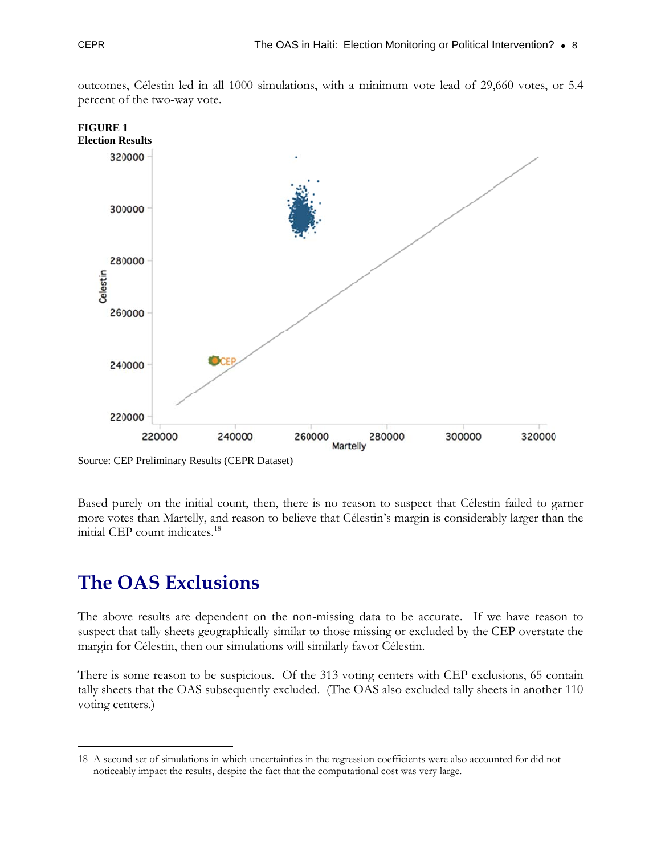

outcomes, Célestin led in all 1000 simulations, with a minimum vote lead of 29,660 votes, or 5.4 percent of the two-way vote.

Source: CEP Preliminary Results (CEPR Dataset)

Based purely on the initial count, then, there is no reason to suspect that Célestin failed to garner more votes than Martelly, and reason to believe that Célestin's margin is considerably larger than the initial CEP count indicates.<sup>18</sup>

#### **The OAS Exclusions**

The above results are dependent on the non-missing data to be accurate. If we have reason to suspect that tally sheets geographically similar to those missing or excluded by the CEP overstate the margin for Célestin, then our simulations will similarly favor Célestin.

There is some reason to be suspicious. Of the 313 voting centers with CEP exclusions, 65 contain tally sheets that the OAS subsequently excluded. (The OAS also excluded tally sheets in another 110) voting centers.)

<sup>18</sup> A second set of simulations in which uncertainties in the regression coefficients were also accounted for did not noticeably impact the results, despite the fact that the computational cost was very large.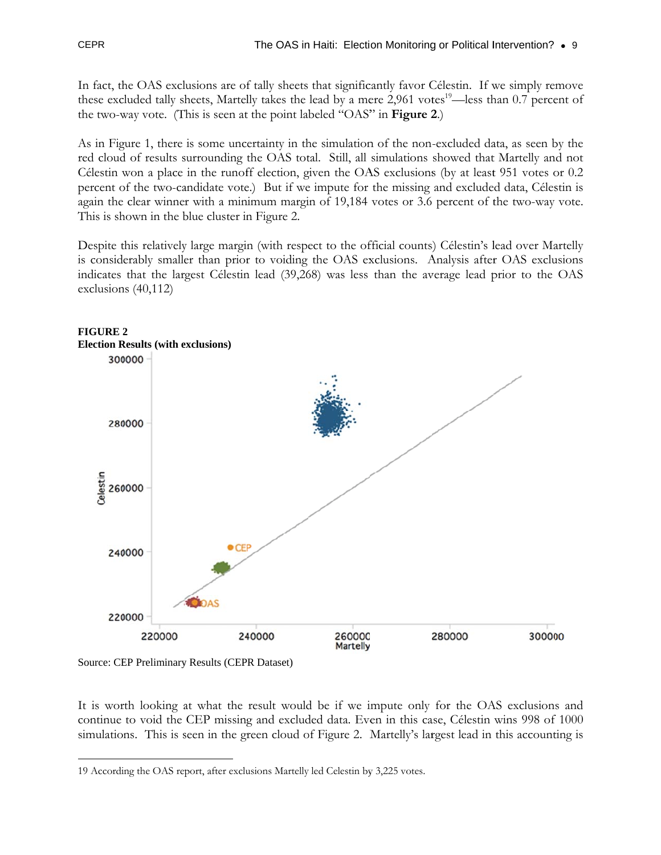In fact, the OAS exclusions are of tally sheets that significantly favor Célestin. If we simply remove these excluded tally sheets, Martelly takes the lead by a mere 2,961 votes<sup>19</sup>—less than 0.7 percent of the two-way vote. (This is seen at the point labeled "OAS" in **Figure 2**.)

As in Figure 1, there is some uncertainty in the simulation of the non-excluded data, as seen by the red cloud of results surrounding the OAS total. Still, all simulations showed that Martelly and not Célestin won a place in the runoff election, given the OAS exclusions (by at least 951 votes or 0.2) percent of the two-candidate vote.) But if we impute for the missing and excluded data, Célestin is again the clear winner with a minimum margin of 19,184 votes or 3.6 percent of the two-way vote. This is shown in the blue cluster in Figure 2.

Despite this relatively large margin (with respect to the official counts) Célestin's lead over Martelly is considerably smaller than prior to voiding the OAS exclusions. Analysis after OAS exclusions indicates that the largest Célestin lead (39,268) was less than the average lead prior to the OAS exclusions  $(40,112)$ 





Source: CEP Preliminary Results (CEPR Dataset)

It is worth looking at what the result would be if we impute only for the OAS exclusions and continue to void the CEP missing and excluded data. Even in this case, Célestin wins 998 of 1000 simulations. This is seen in the green cloud of Figure 2. Martelly's largest lead in this accounting is

<sup>19</sup> According the OAS report, after exclusions Martelly led Celestin by 3,225 votes.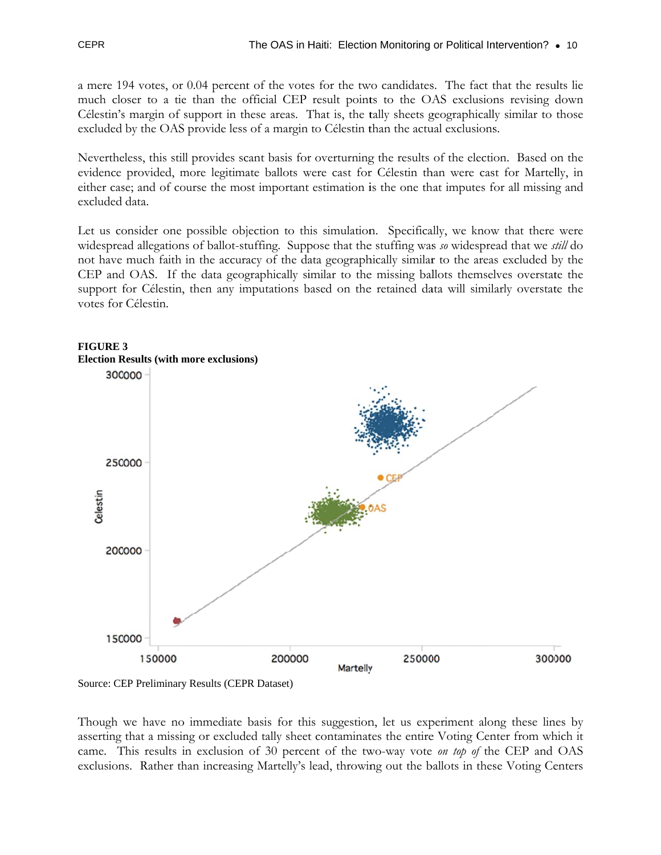a mere 194 votes, or 0.04 percent of the votes for the two candidates. The fact that the results lie much closer to a tie than the official CEP result points to the OAS exclusions revising down Célestin's margin of support in these areas. That is, the tally sheets geographically similar to those excluded by the OAS provide less of a margin to Célestin than the actual exclusions.

Nevertheless, this still provides scant basis for overturning the results of the election. Based on the evidence provided, more legitimate ballots were cast for Célestin than were cast for Martelly, in either case; and of course the most important estimation is the one that imputes for all missing and excluded data.

Let us consider one possible objection to this simulation. Specifically, we know that there were widespread allegations of ballot-stuffing. Suppose that the stuffing was so widespread that we still do not have much faith in the accuracy of the data geographically similar to the areas excluded by the CEP and OAS. If the data geographically similar to the missing ballots themselves overstate the support for Célestin, then any imputations based on the retained data will similarly overstate the votes for Célestin.



#### **FIGURE 3**

Source: CEP Preliminary Results (CEPR Dataset)

Though we have no immediate basis for this suggestion, let us experiment along these lines by asserting that a missing or excluded tally sheet contaminates the entire Voting Center from which it came. This results in exclusion of 30 percent of the two-way vote on top of the CEP and OAS exclusions. Rather than increasing Martelly's lead, throwing out the ballots in these Voting Centers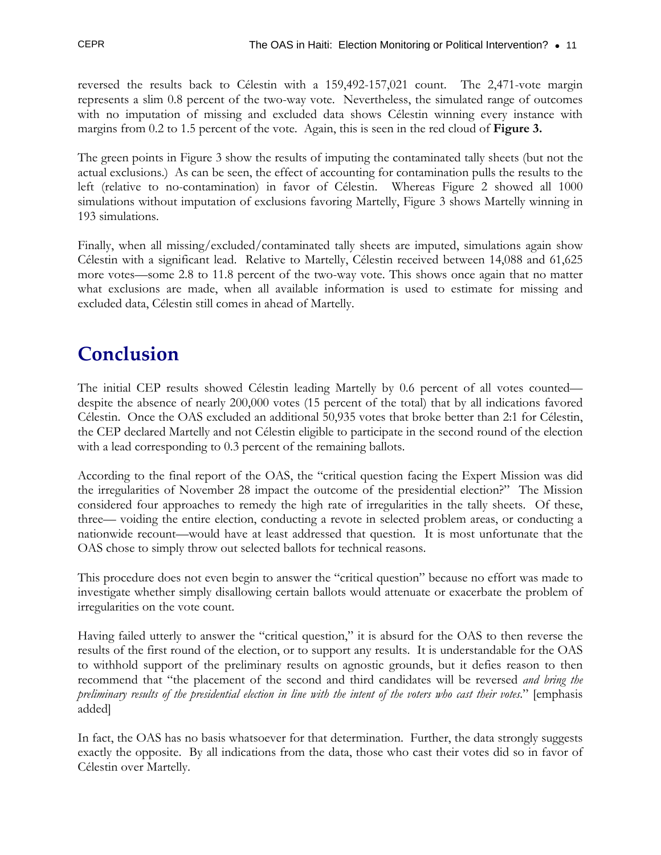reversed the results back to Célestin with a 159,492-157,021 count. The 2,471-vote margin represents a slim 0.8 percent of the two-way vote. Nevertheless, the simulated range of outcomes with no imputation of missing and excluded data shows Célestin winning every instance with margins from 0.2 to 1.5 percent of the vote. Again, this is seen in the red cloud of **Figure 3.**

The green points in Figure 3 show the results of imputing the contaminated tally sheets (but not the actual exclusions.) As can be seen, the effect of accounting for contamination pulls the results to the left (relative to no-contamination) in favor of Célestin. Whereas Figure 2 showed all 1000 simulations without imputation of exclusions favoring Martelly, Figure 3 shows Martelly winning in 193 simulations.

Finally, when all missing/excluded/contaminated tally sheets are imputed, simulations again show Célestin with a significant lead. Relative to Martelly, Célestin received between 14,088 and 61,625 more votes—some 2.8 to 11.8 percent of the two-way vote. This shows once again that no matter what exclusions are made, when all available information is used to estimate for missing and excluded data, Célestin still comes in ahead of Martelly.

## **Conclusion**

The initial CEP results showed Célestin leading Martelly by 0.6 percent of all votes counted despite the absence of nearly 200,000 votes (15 percent of the total) that by all indications favored Célestin. Once the OAS excluded an additional 50,935 votes that broke better than 2:1 for Célestin, the CEP declared Martelly and not Célestin eligible to participate in the second round of the election with a lead corresponding to 0.3 percent of the remaining ballots.

According to the final report of the OAS, the "critical question facing the Expert Mission was did the irregularities of November 28 impact the outcome of the presidential election?" The Mission considered four approaches to remedy the high rate of irregularities in the tally sheets. Of these, three— voiding the entire election, conducting a revote in selected problem areas, or conducting a nationwide recount—would have at least addressed that question. It is most unfortunate that the OAS chose to simply throw out selected ballots for technical reasons.

This procedure does not even begin to answer the "critical question" because no effort was made to investigate whether simply disallowing certain ballots would attenuate or exacerbate the problem of irregularities on the vote count.

Having failed utterly to answer the "critical question," it is absurd for the OAS to then reverse the results of the first round of the election, or to support any results. It is understandable for the OAS to withhold support of the preliminary results on agnostic grounds, but it defies reason to then recommend that "the placement of the second and third candidates will be reversed *and bring the preliminary results of the presidential election in line with the intent of the voters who cast their votes*." [emphasis added]

In fact, the OAS has no basis whatsoever for that determination. Further, the data strongly suggests exactly the opposite. By all indications from the data, those who cast their votes did so in favor of Célestin over Martelly.